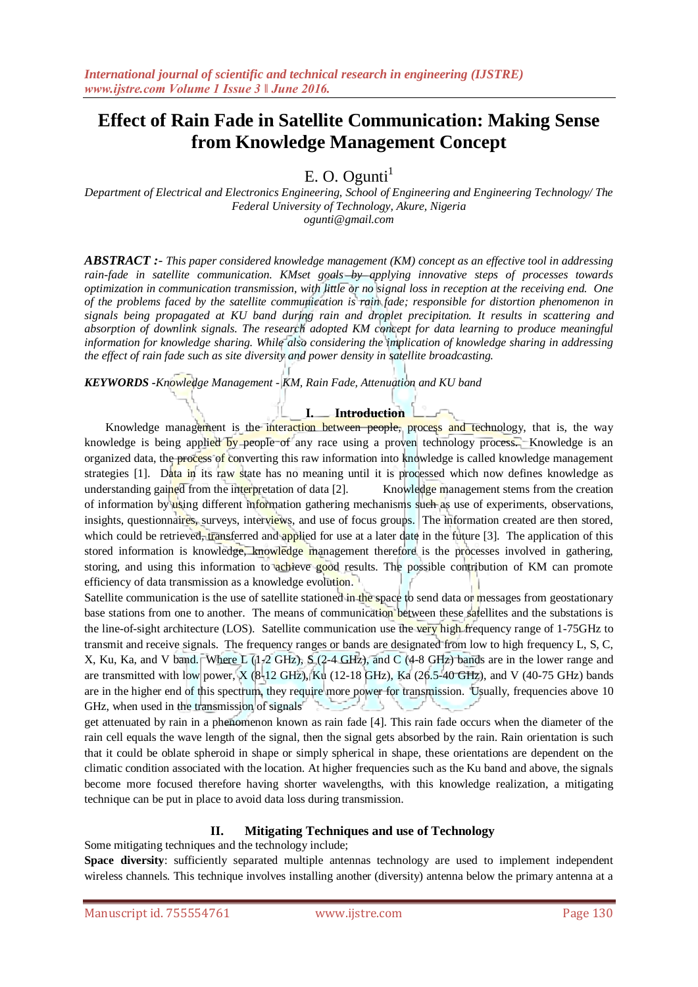# **Effect of Rain Fade in Satellite Communication: Making Sense from Knowledge Management Concept**

 $E. O. Ogunti<sup>1</sup>$ 

*Department of Electrical and Electronics Engineering, School of Engineering and Engineering Technology/ The Federal University of Technology, Akure, Nigeria ogunti@gmail.com*

*ABSTRACT :- This paper considered knowledge management (KM) concept as an effective tool in addressing rain-fade in satellite communication. KMset goals by applying innovative steps of processes towards optimization in communication transmission, with little or no signal loss in reception at the receiving end. One of the problems faced by the satellite communication is rain fade; responsible for distortion phenomenon in signals being propagated at KU band during rain and droplet precipitation. It results in scattering and absorption of downlink signals. The research adopted KM concept for data learning to produce meaningful information for knowledge sharing. While also considering the implication of knowledge sharing in addressing the effect of rain fade such as site diversity and power density in satellite broadcasting.*

*KEYWORDS -Knowledge Management - KM, Rain Fade, Attenuation and KU band*

### **I. Introduction**

Knowledge management is the interaction between people, process and technology, that is, the way knowledge is being applied by people of any race using a proven technology process. Knowledge is an organized data, the process of converting this raw information into knowledge is called knowledge management strategies [1]. Data in its raw state has no meaning until it is processed which now defines knowledge as understanding gained from the interpretation of data [2]. Knowledge management stems from the creation of information by using different information gathering mechanisms such as use of experiments, observations, insights, questionnaires, surveys, interviews, and use of focus groups. The information created are then stored, which could be retrieved, transferred and applied for use at a later date in the future [3]. The application of this stored information is knowledge, knowledge management therefore is the processes involved in gathering, storing, and using this information to achieve good results. The possible contribution of KM can promote efficiency of data transmission as a knowledge evolution.

Satellite communication is the use of satellite stationed in the space to send data or messages from geostationary base stations from one to another. The means of communication between these satellites and the substations is the line-of-sight architecture (LOS). Satellite communication use the very high frequency range of 1-75GHz to transmit and receive signals. The frequency ranges or bands are designated from low to high frequency L, S, C, X, Ku, Ka, and V band. Where L (1-2 GHz), S (2-4 GHz), and C (4-8 GHz) bands are in the lower range and are transmitted with low power, X (8-12 GHz), Ku (12-18 GHz), Ka (26.5-40 GHz), and V (40-75 GHz) bands are in the higher end of this spectrum, they require more power for transmission. Usually, frequencies above 10 GHz, when used in the transmission of signals

get attenuated by rain in a phenomenon known as rain fade [4]. This rain fade occurs when the diameter of the rain cell equals the wave length of the signal, then the signal gets absorbed by the rain. Rain orientation is such that it could be oblate spheroid in shape or simply spherical in shape, these orientations are dependent on the climatic condition associated with the location. At higher frequencies such as the Ku band and above, the signals become more focused therefore having shorter wavelengths, with this knowledge realization, a mitigating technique can be put in place to avoid data loss during transmission.

### **II. Mitigating Techniques and use of Technology**

Some mitigating techniques and the technology include;

**Space diversity**: sufficiently separated multiple antennas technology are used to implement independent wireless channels. This technique involves installing another (diversity) antenna below the primary antenna at a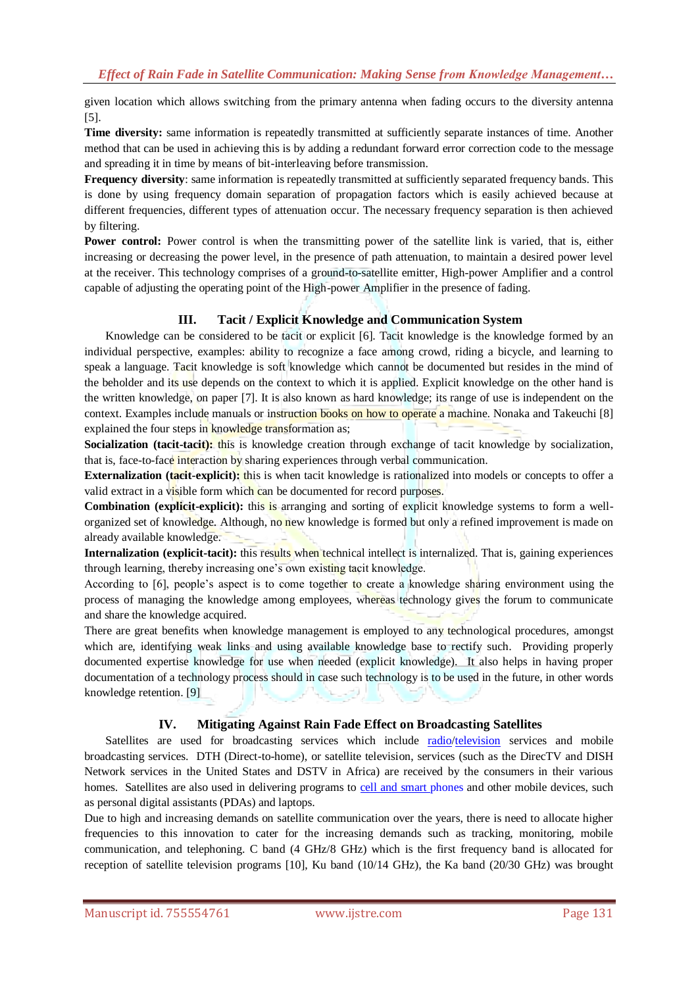given location which allows switching from the primary antenna when fading occurs to the diversity antenna [5].

**Time diversity:** same information is repeatedly transmitted at sufficiently separate instances of time. Another method that can be used in achieving this is by adding a redundant forward error correction code to the message and spreading it in time by means of bit-interleaving before transmission.

**Frequency diversity**: same information is repeatedly transmitted at sufficiently separated frequency bands. This is done by using frequency domain separation of propagation factors which is easily achieved because at different frequencies, different types of attenuation occur. The necessary frequency separation is then achieved by filtering.

**Power control:** Power control is when the transmitting power of the satellite link is varied, that is, either increasing or decreasing the power level, in the presence of path attenuation, to maintain a desired power level at the receiver. This technology comprises of a ground-to-satellite emitter, High-power Amplifier and a control capable of adjusting the operating point of the High-power Amplifier in the presence of fading.

## **III. Tacit / Explicit Knowledge and Communication System**

Knowledge can be considered to be tacit or explicit [6]. Tacit knowledge is the knowledge formed by an individual perspective, examples: ability to recognize a face among crowd, riding a bicycle, and learning to speak a language. Tacit knowledge is soft knowledge which cannot be documented but resides in the mind of the beholder and its use depends on the context to which it is applied. Explicit knowledge on the other hand is the written knowledge, on paper [7]. It is also known as hard knowledge; its range of use is independent on the context. Examples include manuals or instruction books on how to operate a machine. Nonaka and Takeuchi [8] explained the four steps in knowledge transformation as;

**Socialization (tacit-tacit):** this is knowledge creation through exchange of tacit knowledge by socialization, that is, face-to-face interaction by sharing experiences through verbal communication.

**Externalization (tacit-explicit):** this is when tacit knowledge is rationalized into models or concepts to offer a valid extract in a visible form which can be documented for record purposes.

**Combination (explicit-explicit):** this is arranging and sorting of explicit knowledge systems to form a wellorganized set of knowledge. Although, no new knowledge is formed but only a refined improvement is made on already available knowledge.

**Internalization (explicit-tacit):** this results when technical intellect is internalized. That is, gaining experiences through learning, thereby increasing one's own existing tacit knowledge.

According to [6], people's aspect is to come together to create a knowledge sharing environment using the process of managing the knowledge among employees, whereas technology gives the forum to communicate and share the knowledge acquired.

There are great benefits when knowledge management is employed to any technological procedures, amongst which are, identifying weak links and using available knowledge base to rectify such. Providing properly documented expertise knowledge for use when needed (explicit knowledge). It also helps in having proper documentation of a technology process should in case such technology is to be used in the future, in other words knowledge retention. [9]

## **IV. Mitigating Against Rain Fade Effect on Broadcasting Satellites**

Satellites are used for broadcasting services which include [radio/](http://www.britannica.com/EBchecked/topic/1262240/radio-technology)[television](http://www.britannica.com/EBchecked/topic/1262241/television-TV) services and mobile broadcasting services. DTH (Direct-to-home), or satellite television, services (such as the DirecTV and DISH Network services in the United States and DSTV in Africa) are received by the consumers in their various homes. Satellites are also used in delivering programs to [cell and smart phones](http://www.britannica.com/EBchecked/topic/101609/cell-phone) and other mobile devices, such as personal digital assistants (PDAs) and laptops.

Due to high and increasing demands on satellite communication over the years, there is need to allocate higher frequencies to this innovation to cater for the increasing demands such as tracking, monitoring, mobile communication, and telephoning. C band (4 GHz/8 GHz) which is the first frequency band is allocated for reception of satellite television programs [10], Ku band (10/14 GHz), the Ka band (20/30 GHz) was brought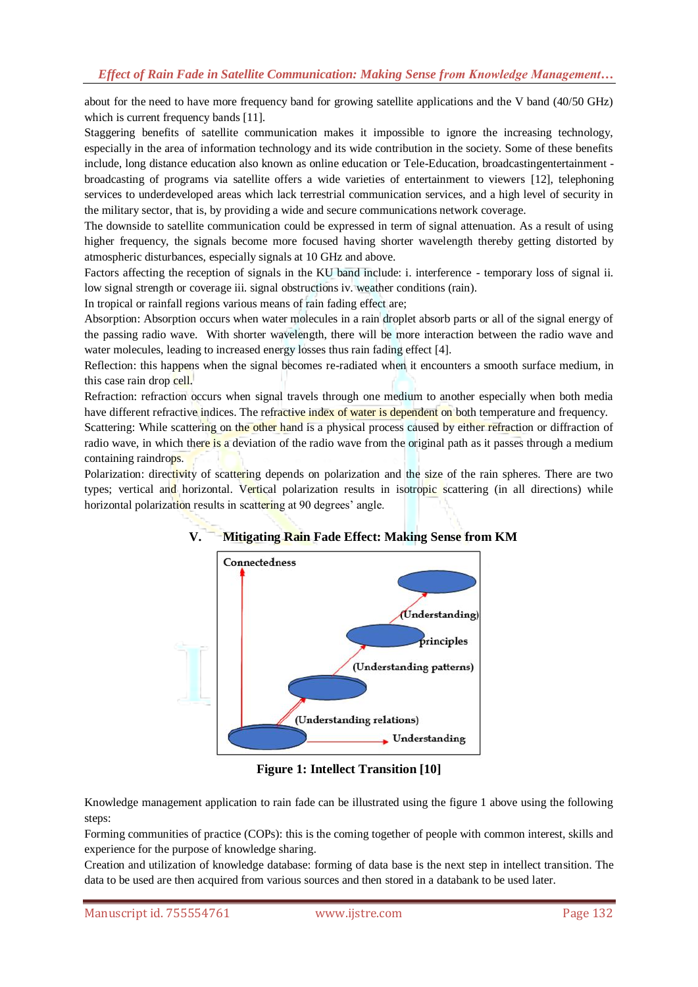about for the need to have more frequency band for growing satellite applications and the V band (40/50 GHz) which is current frequency bands [11].

Staggering benefits of satellite communication makes it impossible to ignore the increasing technology, especially in the area of information technology and its wide contribution in the society. Some of these benefits include, long distance education also known as online education or Tele-Education, broadcastingentertainment broadcasting of programs via satellite offers a wide varieties of entertainment to viewers [12], telephoning services to underdeveloped areas which lack terrestrial communication services, and a high level of security in the military sector, that is, by providing a wide and secure communications network coverage.

The downside to satellite communication could be expressed in term of signal attenuation. As a result of using higher frequency, the signals become more focused having shorter wavelength thereby getting distorted by atmospheric disturbances, especially signals at 10 GHz and above.

Factors affecting the reception of signals in the KU band include: i. interference - temporary loss of signal ii. low signal strength or coverage iii. signal obstructions iv. weather conditions (rain).

In tropical or rainfall regions various means of rain fading effect are;

Absorption: Absorption occurs when water molecules in a rain droplet absorb parts or all of the signal energy of the passing radio wave. With shorter wavelength, there will be more interaction between the radio wave and water molecules, leading to increased energy losses thus rain fading effect [4].

Reflection: this happens when the signal becomes re-radiated when it encounters a smooth surface medium, in this case rain drop cell.

Refraction: refraction occurs when signal travels through one medium to another especially when both media have different refractive indices. The refractive index of water is dependent on both temperature and frequency.

Scattering: While scattering on the other hand is a physical process caused by either refraction or diffraction of radio wave, in which there is a deviation of the radio wave from the original path as it passes through a medium containing raindrops.

Polarization: directivity of scattering depends on polarization and the size of the rain spheres. There are two types; vertical and horizontal. Vertical polarization results in isotropic scattering (in all directions) while horizontal polarization results in scattering at 90 degrees' angle.



## **V. Mitigating Rain Fade Effect: Making Sense from KM**

**Figure 1: Intellect Transition [10]**

Knowledge management application to rain fade can be illustrated using the figure 1 above using the following steps:

Forming communities of practice (COPs): this is the coming together of people with common interest, skills and experience for the purpose of knowledge sharing.

Creation and utilization of knowledge database: forming of data base is the next step in intellect transition. The data to be used are then acquired from various sources and then stored in a databank to be used later.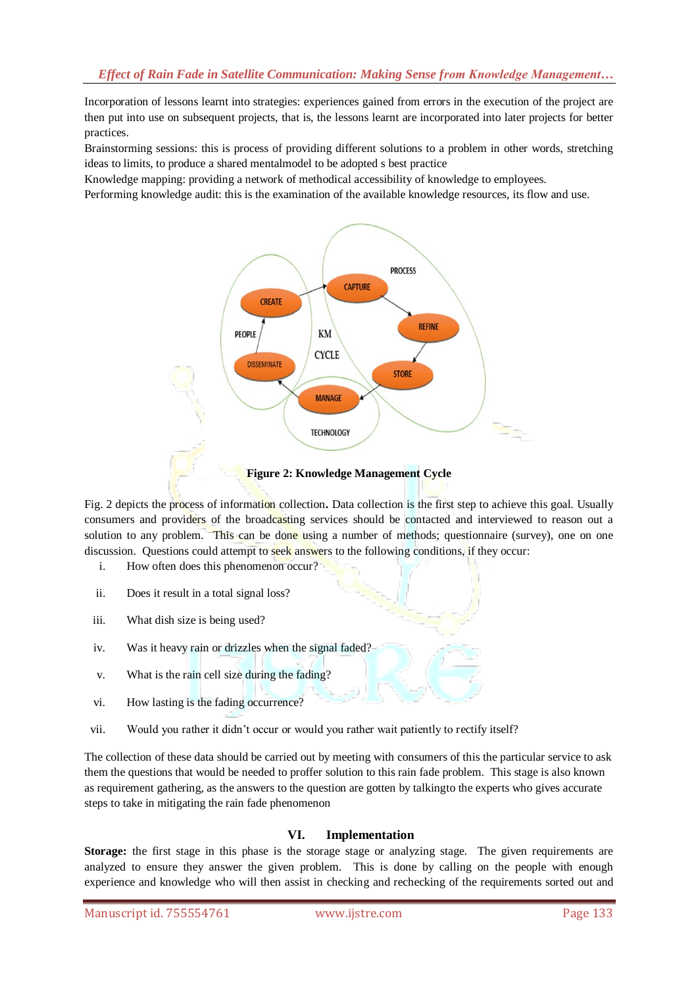Incorporation of lessons learnt into strategies: experiences gained from errors in the execution of the project are then put into use on subsequent projects, that is, the lessons learnt are incorporated into later projects for better practices.

Brainstorming sessions: this is process of providing different solutions to a problem in other words, stretching ideas to limits, to produce a shared mentalmodel to be adopted s best practice

Knowledge mapping: providing a network of methodical accessibility of knowledge to employees.

Performing knowledge audit: this is the examination of the available knowledge resources, its flow and use.



**Figure 2: Knowledge Management Cycle**

Fig. 2 depicts the process of information collection**.** Data collection is the first step to achieve this goal. Usually consumers and providers of the broadcasting services should be contacted and interviewed to reason out a solution to any problem. This can be done using a number of methods; questionnaire (survey), one on one discussion. Questions could attempt to seek answers to the following conditions, if they occur:

- i. How often does this phenomenon occur?
- ii. Does it result in a total signal loss?
- iii. What dish size is being used?
- iv. Was it heavy rain or drizzles when the signal faded?
- v. What is the rain cell size during the fading?
- vi. How lasting is the fading occurrence?
- vii. Would you rather it didn't occur or would you rather wait patiently to rectify itself?

The collection of these data should be carried out by meeting with consumers of this the particular service to ask them the questions that would be needed to proffer solution to this rain fade problem. This stage is also known as requirement gathering, as the answers to the question are gotten by talkingto the experts who gives accurate steps to take in mitigating the rain fade phenomenon

## **VI. Implementation**

**Storage:** the first stage in this phase is the storage stage or analyzing stage. The given requirements are analyzed to ensure they answer the given problem. This is done by calling on the people with enough experience and knowledge who will then assist in checking and rechecking of the requirements sorted out and